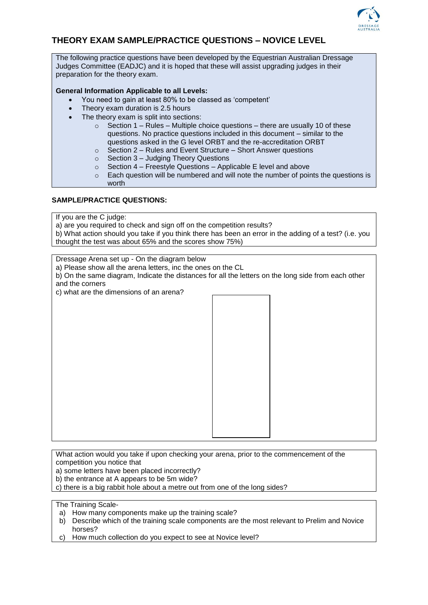

## **THEORY EXAM SAMPLE/PRACTICE QUESTIONS – NOVICE LEVEL**

The following practice questions have been developed by the Equestrian Australian Dressage Judges Committee (EADJC) and it is hoped that these will assist upgrading judges in their preparation for the theory exam.

## **General Information Applicable to all Levels:**

- You need to gain at least 80% to be classed as 'competent'
- Theory exam duration is 2.5 hours
- The theory exam is split into sections:
	- $\circ$  Section 1 Rules Multiple choice questions there are usually 10 of these questions. No practice questions included in this document – similar to the questions asked in the G level ORBT and the re-accreditation ORBT
	- $\circ$  Section 2 Rules and Event Structure Short Answer questions
	- o Section 3 Judging Theory Questions
	- $\circ$  Section 4 Freestyle Questions Applicable E level and above
	- $\circ$  Each question will be numbered and will note the number of points the questions is worth

## **SAMPLE/PRACTICE QUESTIONS:**

If you are the C judge:

a) are you required to check and sign off on the competition results?

b) What action should you take if you think there has been an error in the adding of a test? (i.e. you thought the test was about 65% and the scores show 75%)

Dressage Arena set up - On the diagram below

a) Please show all the arena letters, inc the ones on the CL

b) On the same diagram, Indicate the distances for all the letters on the long side from each other and the corners

c) what are the dimensions of an arena?

What action would you take if upon checking your arena, prior to the commencement of the competition you notice that

a) some letters have been placed incorrectly?

b) the entrance at A appears to be 5m wide?

c) there is a big rabbit hole about a metre out from one of the long sides?

The Training Scale-

- a) How many components make up the training scale?
- b) Describe which of the training scale components are the most relevant to Prelim and Novice horses?
- c) How much collection do you expect to see at Novice level?